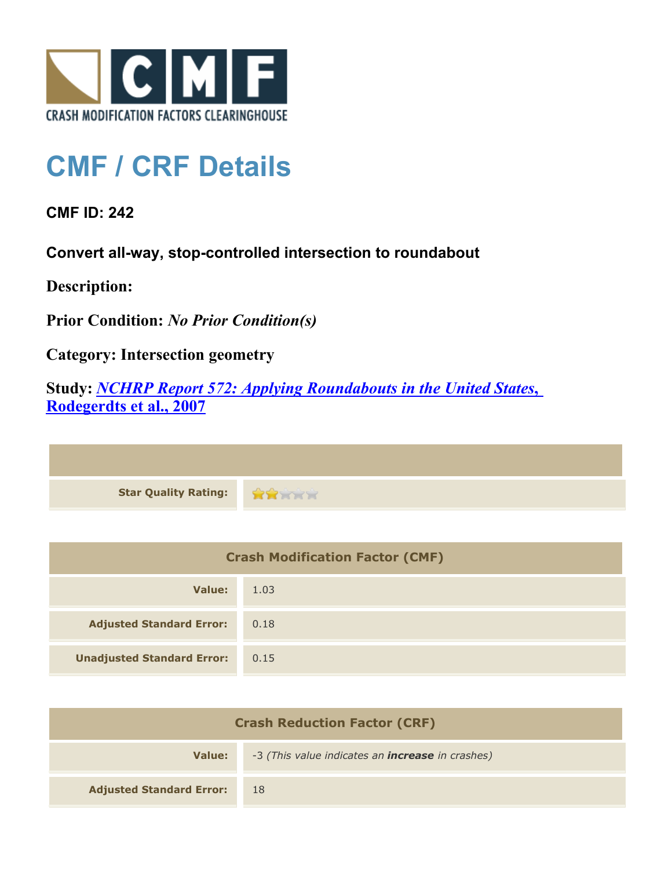

## **CMF / CRF Details**

**CMF ID: 242**

**Convert all-way, stop-controlled intersection to roundabout**

**Description:** 

**Prior Condition:** *No Prior Condition(s)*

**Category: Intersection geometry**

**Study:** *[NCHRP Report 572: Applying Roundabouts in the United States](http://www.cmfclearinghouse.org/study_detail.cfm?stid=53)***[,](http://www.cmfclearinghouse.org/study_detail.cfm?stid=53) [Rodegerdts et al., 2007](http://www.cmfclearinghouse.org/study_detail.cfm?stid=53)**

| Star Quality Rating: |  |
|----------------------|--|

| <b>Crash Modification Factor (CMF)</b> |      |
|----------------------------------------|------|
| Value:                                 | 1.03 |
| <b>Adjusted Standard Error:</b>        | 0.18 |
| <b>Unadjusted Standard Error:</b>      | 0.15 |

| <b>Crash Reduction Factor (CRF)</b> |                                                         |
|-------------------------------------|---------------------------------------------------------|
| Value:                              | -3 (This value indicates an <b>increase</b> in crashes) |
| <b>Adjusted Standard Error:</b>     | 18                                                      |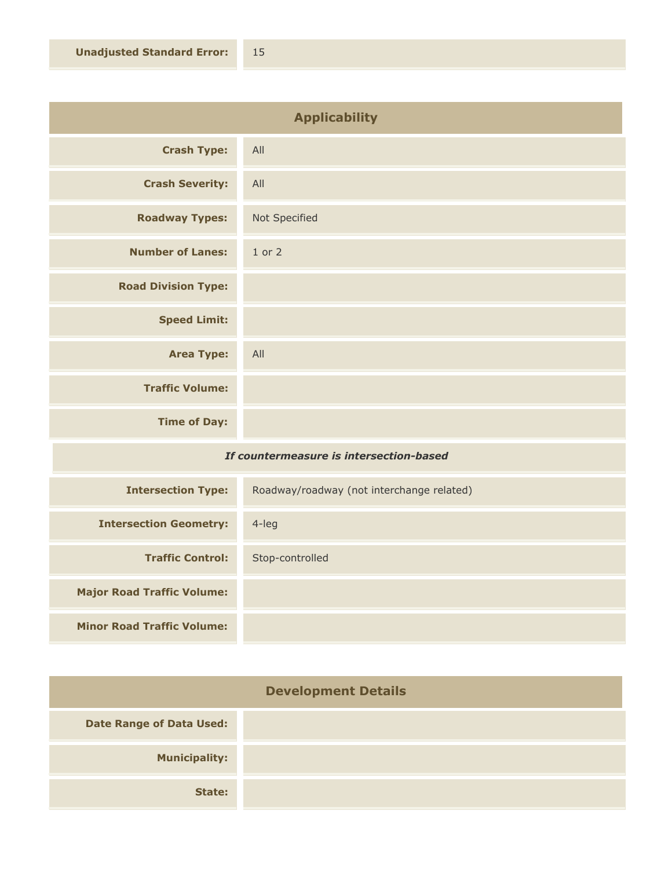| <b>Applicability</b>                    |               |
|-----------------------------------------|---------------|
| <b>Crash Type:</b>                      | All           |
| <b>Crash Severity:</b>                  | All           |
| <b>Roadway Types:</b>                   | Not Specified |
| <b>Number of Lanes:</b>                 | $1$ or $2$    |
| <b>Road Division Type:</b>              |               |
| <b>Speed Limit:</b>                     |               |
| <b>Area Type:</b>                       | All           |
| <b>Traffic Volume:</b>                  |               |
| <b>Time of Day:</b>                     |               |
| If countermeasure is intersection-based |               |

| <b>Intersection Type:</b>         | Roadway/roadway (not interchange related) |
|-----------------------------------|-------------------------------------------|
| <b>Intersection Geometry:</b>     | $4$ -leg                                  |
| <b>Traffic Control:</b>           | Stop-controlled                           |
| <b>Major Road Traffic Volume:</b> |                                           |
| <b>Minor Road Traffic Volume:</b> |                                           |

| <b>Development Details</b>      |  |
|---------------------------------|--|
| <b>Date Range of Data Used:</b> |  |
| <b>Municipality:</b>            |  |
| State:                          |  |